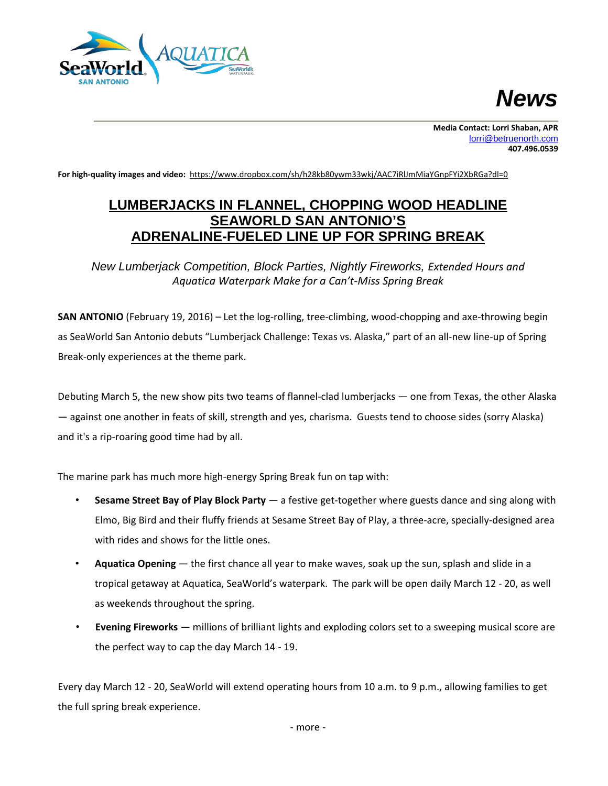



**For high-quality images and video:** <https://www.dropbox.com/sh/h28kb80ywm33wkj/AAC7iRlJmMiaYGnpFYi2XbRGa?dl=0>

## **LUMBERJACKS IN FLANNEL, CHOPPING WOOD HEADLINE SEAWORLD SAN ANTONIO'S ADRENALINE-FUELED LINE UP FOR SPRING BREAK**

*New Lumberjack Competition, Block Parties, Nightly Fireworks, Extended Hours and Aquatica Waterpark Make for a Can't-Miss Spring Break*

**SAN ANTONIO** (February 19, 2016) – Let the log-rolling, tree-climbing, wood-chopping and axe-throwing begin as SeaWorld San Antonio debuts "Lumberjack Challenge: Texas vs. Alaska," part of an all-new line-up of Spring Break-only experiences at the theme park.

Debuting March 5, the new show pits two teams of flannel-clad lumberjacks — one from Texas, the other Alaska — against one another in feats of skill, strength and yes, charisma. Guests tend to choose sides (sorry Alaska) and it's a rip-roaring good time had by all.

The marine park has much more high-energy Spring Break fun on tap with:

- **Sesame Street Bay of Play Block Party** a festive get-together where guests dance and sing along with Elmo, Big Bird and their fluffy friends at Sesame Street Bay of Play, a three-acre, specially-designed area with rides and shows for the little ones.
- **Aquatica Opening** the first chance all year to make waves, soak up the sun, splash and slide in a tropical getaway at Aquatica, SeaWorld's waterpark. The park will be open daily March 12 - 20, as well as weekends throughout the spring.
- **Evening Fireworks** millions of brilliant lights and exploding colors set to a sweeping musical score are the perfect way to cap the day March 14 - 19.

Every day March 12 - 20, SeaWorld will extend operating hours from 10 a.m. to 9 p.m., allowing families to get the full spring break experience.